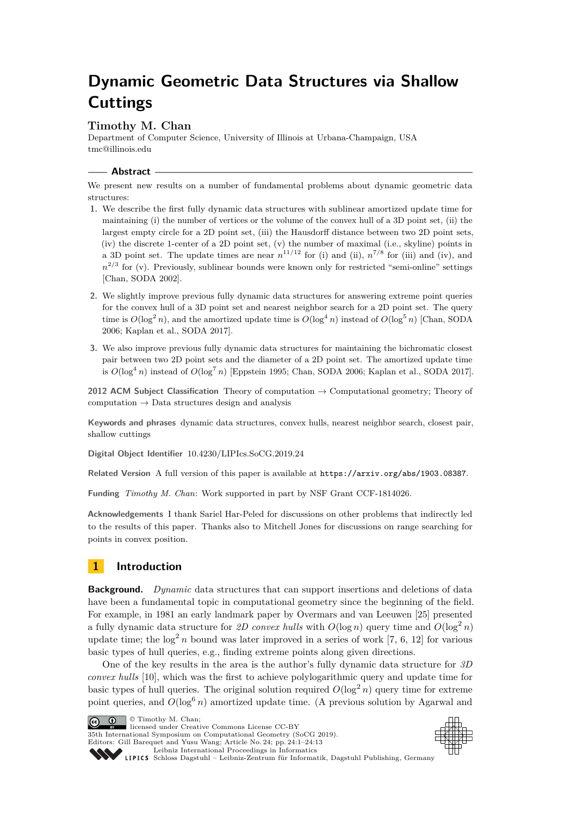# **Dynamic Geometric Data Structures via Shallow Cuttings**

## **Timothy M. Chan**

Department of Computer Science, University of Illinois at Urbana-Champaign, USA [tmc@illinois.edu](mailto:tmc@illinois.edu)

**Abstract**

We present new results on a number of fundamental problems about dynamic geometric data structures:

- **1.** We describe the first fully dynamic data structures with sublinear amortized update time for maintaining (i) the number of vertices or the volume of the convex hull of a 3D point set, (ii) the largest empty circle for a 2D point set, (iii) the Hausdorff distance between two 2D point sets, (iv) the discrete 1-center of a 2D point set, (v) the number of maximal (i.e., skyline) points in a 3D point set. The update times are near  $n^{11/12}$  for (i) and (ii),  $n^{7/8}$  for (iii) and (iv), and  $n^{2/3}$  for (v). Previously, sublinear bounds were known only for restricted "semi-online" settings [Chan, SODA 2002].
- **2.** We slightly improve previous fully dynamic data structures for answering extreme point queries for the convex hull of a 3D point set and nearest neighbor search for a 2D point set. The query time is  $O(\log^2 n)$ , and the amortized update time is  $O(\log^4 n)$  instead of  $O(\log^5 n)$  [Chan, SODA] 2006; Kaplan et al., SODA 2017].
- **3.** We also improve previous fully dynamic data structures for maintaining the bichromatic closest pair between two 2D point sets and the diameter of a 2D point set. The amortized update time is  $O(\log^4 n)$  instead of  $O(\log^7 n)$  [Eppstein 1995; Chan, SODA 2006; Kaplan et al., SODA 2017].

**2012 ACM Subject Classification** Theory of computation → Computational geometry; Theory of computation  $\rightarrow$  Data structures design and analysis

**Keywords and phrases** dynamic data structures, convex hulls, nearest neighbor search, closest pair, shallow cuttings

**Digital Object Identifier** [10.4230/LIPIcs.SoCG.2019.24](https://doi.org/10.4230/LIPIcs.SoCG.2019.24)

**Related Version** A full version of this paper is available at <https://arxiv.org/abs/1903.08387>.

**Funding** *Timothy M. Chan*: Work supported in part by NSF Grant CCF-1814026.

**Acknowledgements** I thank Sariel Har-Peled for discussions on other problems that indirectly led to the results of this paper. Thanks also to Mitchell Jones for discussions on range searching for points in convex position.

# **1 Introduction**

**Background.** *Dynamic* data structures that can support insertions and deletions of data have been a fundamental topic in computational geometry since the beginning of the field. For example, in 1981 an early landmark paper by Overmars and van Leeuwen [\[25\]](#page-12-0) presented a fully dynamic data structure for 2D convex hulls with  $O(\log n)$  query time and  $O(\log^2 n)$ update time; the  $\log^2 n$  bound was later improved in a series of work [\[7,](#page-12-1) [6,](#page-11-0) [12\]](#page-12-2) for various basic types of hull queries, e.g., finding extreme points along given directions.

One of the key results in the area is the author's fully dynamic data structure for *3D convex hulls* [\[10\]](#page-12-3), which was the first to achieve polylogarithmic query and update time for basic types of hull queries. The original solution required  $O(\log^2 n)$  query time for extreme point queries, and  $O(\log^6 n)$  amortized update time. (A previous solution by Agarwal and

 $\boxed{\text{c}}$   $\boxed{\text{d}}$   $\boxed{\text{Timothy M. Chan:}}$ 

licensed under Creative Commons License CC-BY 35th International Symposium on Computational Geometry (SoCG 2019). Editors: Gill Barequet and Yusu Wang; Article No. 24; pp. 24:1–24[:13](#page-12-4)



[Leibniz International Proceedings in Informatics](https://www.dagstuhl.de/lipics/) SCHLOSS Dagstuhl – Leibniz-Zentrum für Informatik, Dagstuhl Publishing, Germany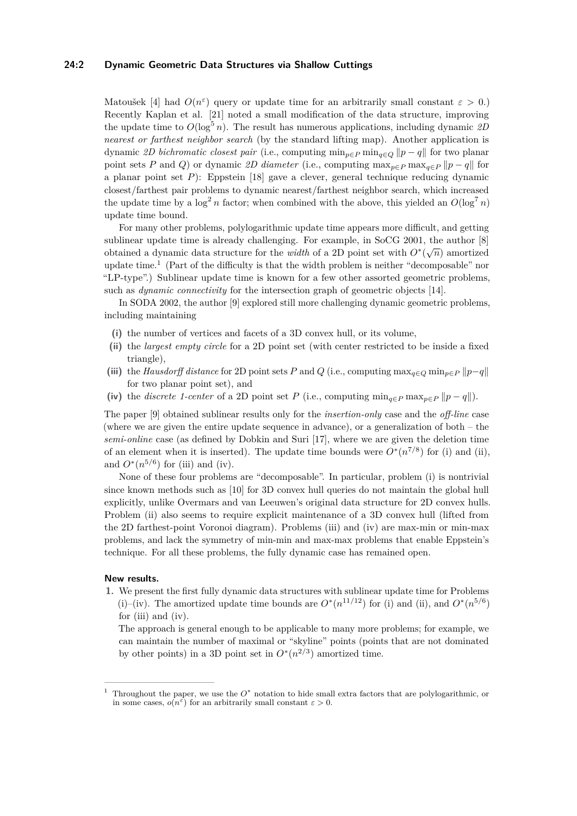## **24:2 Dynamic Geometric Data Structures via Shallow Cuttings**

Matoušek [\[4\]](#page-11-1) had  $O(n^{\epsilon})$  query or update time for an arbitrarily small constant  $\epsilon > 0$ .) Recently Kaplan et al. [\[21\]](#page-12-5) noted a small modification of the data structure, improving the update time to  $O(\log^5 n)$ . The result has numerous applications, including dynamic 2D *nearest or farthest neighbor search* (by the standard lifting map). Another application is dynamic *2D bichromatic closest pair* (i.e., computing  $\min_{p \in P} \min_{q \in Q} ||p - q||$  for two planar point sets *P* and *Q*) or dynamic 2D diameter (i.e., computing  $\max_{p \in P} \max_{q \in P} ||p - q||$  for a planar point set *P*): Eppstein [\[18\]](#page-12-6) gave a clever, general technique reducing dynamic closest/farthest pair problems to dynamic nearest/farthest neighbor search, which increased the update time by a  $\log^2 n$  factor; when combined with the above, this yielded an  $O(\log^7 n)$ update time bound.

For many other problems, polylogarithmic update time appears more difficult, and getting sublinear update time is already challenging. For example, in SoCG 2001, the author [\[8\]](#page-12-7) obtained a dynamic data structure for the *width* of a 2D point set with  $O^*(\sqrt{n})$  amortized update time.<sup>[1](#page-1-0)</sup> (Part of the difficulty is that the width problem is neither "decomposable" nor "LP-type".) Sublinear update time is known for a few other assorted geometric problems, such as *dynamic connectivity* for the intersection graph of geometric objects [\[14\]](#page-12-8).

In SODA 2002, the author [\[9\]](#page-12-9) explored still more challenging dynamic geometric problems, including maintaining

- **(i)** the number of vertices and facets of a 3D convex hull, or its volume,
- **(ii)** the *largest empty circle* for a 2D point set (with center restricted to be inside a fixed triangle),
- (iii) the *Hausdorff distance* for 2D point sets *P* and *Q* (i.e., computing  $\max_{q \in Q} \min_{p \in P} ||p-q||$ for two planar point set), and
- (iv) the *discrete* 1-center of a 2D point set *P* (i.e., computing  $\min_{q \in P} \max_{p \in P} ||p q||$ ).

The paper [\[9\]](#page-12-9) obtained sublinear results only for the *insertion-only* case and the *off-line* case (where we are given the entire update sequence in advance), or a generalization of both – the *semi-online* case (as defined by Dobkin and Suri [\[17\]](#page-12-10), where we are given the deletion time of an element when it is inserted). The update time bounds were  $O^*(n^{7/8})$  for (i) and (ii), and  $O^*(n^{5/6})$  for (iii) and (iv).

None of these four problems are "decomposable". In particular, problem (i) is nontrivial since known methods such as [\[10\]](#page-12-3) for 3D convex hull queries do not maintain the global hull explicitly, unlike Overmars and van Leeuwen's original data structure for 2D convex hulls. Problem (ii) also seems to require explicit maintenance of a 3D convex hull (lifted from the 2D farthest-point Voronoi diagram). Problems (iii) and (iv) are max-min or min-max problems, and lack the symmetry of min-min and max-max problems that enable Eppstein's technique. For all these problems, the fully dynamic case has remained open.

## **New results.**

**1.** We present the first fully dynamic data structures with sublinear update time for Problems (i)–(iv). The amortized update time bounds are  $O^*(n^{11/12})$  for (i) and (ii), and  $O^*(n^{5/6})$ for (iii) and (iv).

The approach is general enough to be applicable to many more problems; for example, we can maintain the number of maximal or "skyline" points (points that are not dominated by other points) in a 3D point set in  $O^*(n^{2/3})$  amortized time.

<span id="page-1-0"></span><sup>&</sup>lt;sup>1</sup> Throughout the paper, we use the  $O^*$  notation to hide small extra factors that are polylogarithmic, or in some cases,  $o(n^{\varepsilon})$  for an arbitrarily small constant  $\varepsilon > 0$ .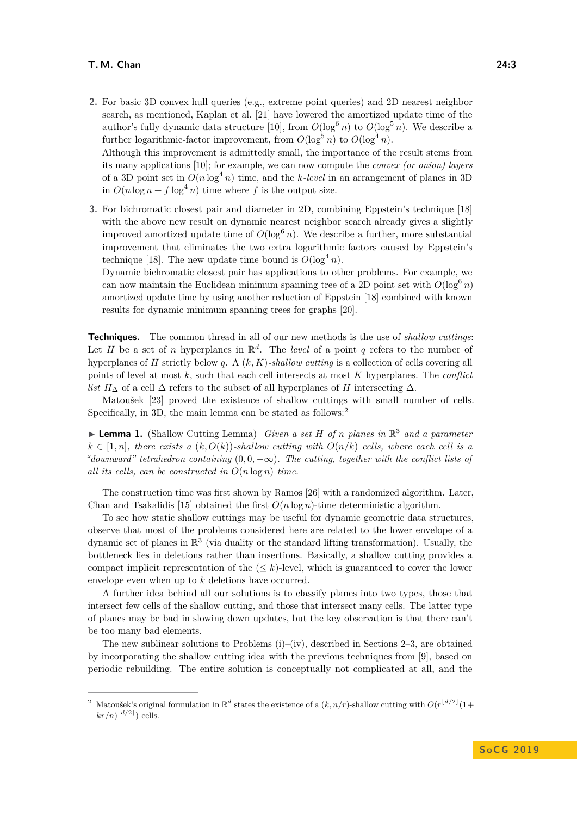## **T. M. Chan 24:3**

**2.** For basic 3D convex hull queries (e.g., extreme point queries) and 2D nearest neighbor search, as mentioned, Kaplan et al. [\[21\]](#page-12-5) have lowered the amortized update time of the author's fully dynamic data structure [\[10\]](#page-12-3), from  $O(\log^6 n)$  to  $O(\log^5 n)$ . We describe a further logarithmic-factor improvement, from  $O(\log^5 n)$  to  $O(\log^4 n)$ .

Although this improvement is admittedly small, the importance of the result stems from its many applications [\[10\]](#page-12-3); for example, we can now compute the *convex (or onion) layers* of a 3D point set in  $O(n \log^4 n)$  time, and the *k*-level in an arrangement of planes in 3D in  $O(n \log n + f \log^4 n)$  time where *f* is the output size.

**3.** For bichromatic closest pair and diameter in 2D, combining Eppstein's technique [\[18\]](#page-12-6) with the above new result on dynamic nearest neighbor search already gives a slightly improved amortized update time of  $O(\log^6 n)$ . We describe a further, more substantial improvement that eliminates the two extra logarithmic factors caused by Eppstein's technique [\[18\]](#page-12-6). The new update time bound is  $O(\log^4 n)$ .

Dynamic bichromatic closest pair has applications to other problems. For example, we can now maintain the Euclidean minimum spanning tree of a 2D point set with  $O(\log^6 n)$ amortized update time by using another reduction of Eppstein [\[18\]](#page-12-6) combined with known results for dynamic minimum spanning trees for graphs [\[20\]](#page-12-11).

**Techniques.** The common thread in all of our new methods is the use of *shallow cuttings*: Let *H* be a set of *n* hyperplanes in  $\mathbb{R}^d$ . The *level* of a point *q* refers to the number of hyperplanes of *H* strictly below *q*. A (*k, K*)*-shallow cutting* is a collection of cells covering all points of level at most *k*, such that each cell intersects at most *K* hyperplanes. The *conflict list*  $H_{\Delta}$  of a cell  $\Delta$  refers to the subset of all hyperplanes of *H* intersecting  $\Delta$ .

Matoušek [\[23\]](#page-12-12) proved the existence of shallow cuttings with small number of cells. Specifically, in 3D, the main lemma can be stated as follows:<sup>[2](#page-2-0)</sup>

<span id="page-2-1"></span>▶ Lemma 1. (Shallow Cutting Lemma) *Given a set H of n planes in*  $\mathbb{R}^3$  *and a parameter*  $k \in [1, n]$ *, there exists a*  $(k, O(k))$ *-shallow cutting with*  $O(n/k)$  *cells, where each cell is a "downward" tetrahedron containing*  $(0, 0, -\infty)$ . The cutting, together with the conflict lists of *all its cells, can be constructed in O*(*n* log *n*) *time.*

The construction time was first shown by Ramos [\[26\]](#page-12-13) with a randomized algorithm. Later, Chan and Tsakalidis [\[15\]](#page-12-14) obtained the first  $O(n \log n)$ -time deterministic algorithm.

To see how static shallow cuttings may be useful for dynamic geometric data structures, observe that most of the problems considered here are related to the lower envelope of a dynamic set of planes in  $\mathbb{R}^3$  (via duality or the standard lifting transformation). Usually, the bottleneck lies in deletions rather than insertions. Basically, a shallow cutting provides a compact implicit representation of the  $(< k$ )-level, which is guaranteed to cover the lower envelope even when up to *k* deletions have occurred.

A further idea behind all our solutions is to classify planes into two types, those that intersect few cells of the shallow cutting, and those that intersect many cells. The latter type of planes may be bad in slowing down updates, but the key observation is that there can't be too many bad elements.

The new sublinear solutions to Problems  $(i)-(iv)$ , described in Sections [2](#page-3-0)[–3,](#page-6-0) are obtained by incorporating the shallow cutting idea with the previous techniques from [\[9\]](#page-12-9), based on periodic rebuilding. The entire solution is conceptually not complicated at all, and the

<span id="page-2-0"></span><sup>&</sup>lt;sup>2</sup> Matoušek's original formulation in  $\mathbb{R}^d$  states the existence of a  $(k, n/r)$ -shallow cutting with  $O(r^{\lfloor d/2 \rfloor}(1+\epsilon))$  $kr/n)^{\lceil d/2 \rceil}$  cells.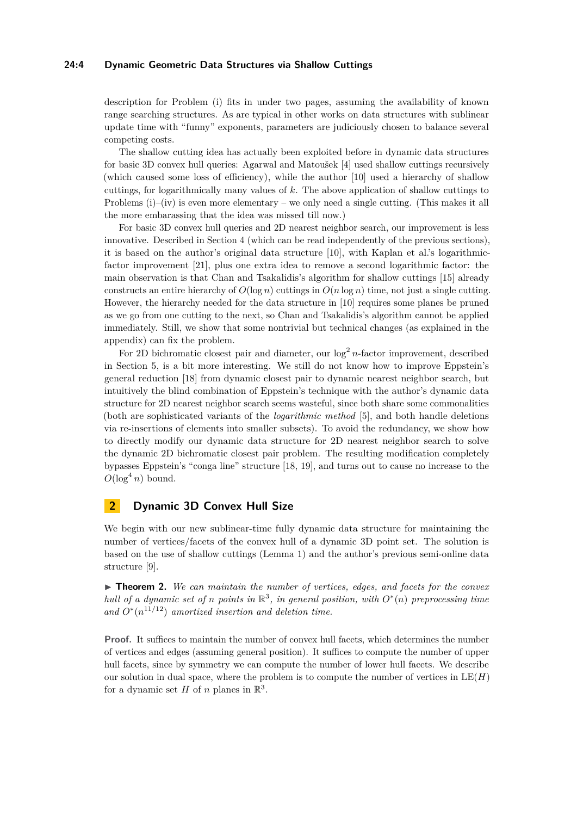## **24:4 Dynamic Geometric Data Structures via Shallow Cuttings**

description for Problem (i) fits in under two pages, assuming the availability of known range searching structures. As are typical in other works on data structures with sublinear update time with "funny" exponents, parameters are judiciously chosen to balance several competing costs.

The shallow cutting idea has actually been exploited before in dynamic data structures for basic 3D convex hull queries: Agarwal and Matoušek [\[4\]](#page-11-1) used shallow cuttings recursively (which caused some loss of efficiency), while the author [\[10\]](#page-12-3) used a hierarchy of shallow cuttings, for logarithmically many values of *k*. The above application of shallow cuttings to Problems (i)–(iv) is even more elementary – we only need a single cutting. (This makes it all the more embarassing that the idea was missed till now.)

For basic 3D convex hull queries and 2D nearest neighbor search, our improvement is less innovative. Described in Section [4](#page-8-0) (which can be read independently of the previous sections), it is based on the author's original data structure [\[10\]](#page-12-3), with Kaplan et al.'s logarithmicfactor improvement [\[21\]](#page-12-5), plus one extra idea to remove a second logarithmic factor: the main observation is that Chan and Tsakalidis's algorithm for shallow cuttings [\[15\]](#page-12-14) already constructs an entire hierarchy of  $O(\log n)$  cuttings in  $O(n \log n)$  time, not just a single cutting. However, the hierarchy needed for the data structure in [\[10\]](#page-12-3) requires some planes be pruned as we go from one cutting to the next, so Chan and Tsakalidis's algorithm cannot be applied immediately. Still, we show that some nontrivial but technical changes (as explained in the appendix) can fix the problem.

For 2D bichromatic closest pair and diameter, our  $\log^2 n$ -factor improvement, described in Section [5,](#page-10-0) is a bit more interesting. We still do not know how to improve Eppstein's general reduction [\[18\]](#page-12-6) from dynamic closest pair to dynamic nearest neighbor search, but intuitively the blind combination of Eppstein's technique with the author's dynamic data structure for 2D nearest neighbor search seems wasteful, since both share some commonalities (both are sophisticated variants of the *logarithmic method* [\[5\]](#page-11-2), and both handle deletions via re-insertions of elements into smaller subsets). To avoid the redundancy, we show how to directly modify our dynamic data structure for 2D nearest neighbor search to solve the dynamic 2D bichromatic closest pair problem. The resulting modification completely bypasses Eppstein's "conga line" structure [\[18,](#page-12-6) [19\]](#page-12-15), and turns out to cause no increase to the  $O(\log^4 n)$  bound.

## <span id="page-3-0"></span>**2 Dynamic 3D Convex Hull Size**

We begin with our new sublinear-time fully dynamic data structure for maintaining the number of vertices/facets of the convex hull of a dynamic 3D point set. The solution is based on the use of shallow cuttings (Lemma [1\)](#page-2-1) and the author's previous semi-online data structure [\[9\]](#page-12-9).

► **Theorem 2.** We can maintain the number of vertices, edges, and facets for the convex *hull of a dynamic set of n points in*  $\mathbb{R}^3$ , *in general position, with*  $O^*(n)$  *preprocessing time* and  $O^*(n^{11/12})$  amortized insertion and deletion time.

**Proof.** It suffices to maintain the number of convex hull facets, which determines the number of vertices and edges (assuming general position). It suffices to compute the number of upper hull facets, since by symmetry we can compute the number of lower hull facets. We describe our solution in dual space, where the problem is to compute the number of vertices in  $LE(H)$ for a dynamic set  $H$  of  $n$  planes in  $\mathbb{R}^3$ .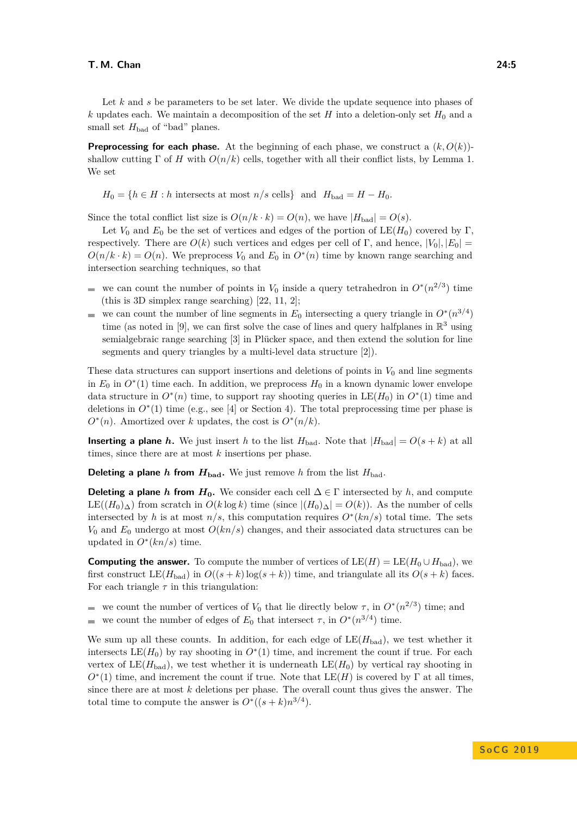Let *k* and *s* be parameters to be set later. We divide the update sequence into phases of *k* updates each. We maintain a decomposition of the set *H* into a deletion-only set  $H_0$  and a small set  $H_{bad}$  of "bad" planes.

**Preprocessing for each phase.** At the beginning of each phase, we construct a  $(k, O(k))$ shallow cutting  $\Gamma$  of *H* with  $O(n/k)$  cells, together with all their conflict lists, by Lemma [1.](#page-2-1) We set

 $H_0 = \{h \in H : h \text{ intersects at most } n/s \text{ cells}\}\$ and  $H_{bad} = H - H_0$ .

Since the total conflict list size is  $O(n/k \cdot k) = O(n)$ , we have  $|H_{bad}| = O(s)$ .

Let  $V_0$  and  $E_0$  be the set of vertices and edges of the portion of  $LE(H_0)$  covered by Γ, respectively. There are  $O(k)$  such vertices and edges per cell of Γ, and hence,  $|V_0|, |E_0|$  =  $O(n/k \cdot k) = O(n)$ . We preprocess  $V_0$  and  $E_0$  in  $O^*(n)$  time by known range searching and intersection searching techniques, so that

- we can count the number of points in  $V_0$  inside a query tetrahedron in  $O^*(n^{2/3})$  time  $\sim$ (this is 3D simplex range searching) [\[22,](#page-12-16) [11,](#page-12-17) [2\]](#page-11-3);
- we can count the number of line segments in  $E_0$  intersecting a query triangle in  $O^*(n^{3/4})$ time (as noted in [\[9\]](#page-12-9), we can first solve the case of lines and query halfplanes in  $\mathbb{R}^3$  using semialgebraic range searching [\[3\]](#page-11-4) in Plücker space, and then extend the solution for line segments and query triangles by a multi-level data structure [\[2\]](#page-11-3)).

These data structures can support insertions and deletions of points in  $V_0$  and line segments in  $E_0$  in  $O^*(1)$  time each. In addition, we preprocess  $H_0$  in a known dynamic lower envelope data structure in  $O^*(n)$  time, to support ray shooting queries in  $LE(H_0)$  in  $O^*(1)$  time and deletions in  $O<sup>*</sup>(1)$  time (e.g., see [\[4\]](#page-11-1) or Section [4\)](#page-8-0). The total preprocessing time per phase is  $O^*(n)$ . Amortized over *k* updates, the cost is  $O^*(n/k)$ .

**Inserting a plane** *h*. We just insert *h* to the list  $H_{bad}$ . Note that  $|H_{bad}| = O(s + k)$  at all times, since there are at most *k* insertions per phase.

**Deleting a plane** *h* **from**  $H_{bad}$ . We just remove *h* from the list  $H_{bad}$ .

**Deleting a plane** *h* **from**  $H_0$ . We consider each cell  $\Delta \in \Gamma$  intersected by *h*, and compute LE( $(H_0)$ ∆) from scratch in  $O(k \log k)$  time (since  $|(H_0)$ ∆ $| = O(k)$ ). As the number of cells intersected by *h* is at most  $n/s$ , this computation requires  $O<sup>*</sup>(kn/s)$  total time. The sets *V*<sup>0</sup> and *E*<sup>0</sup> undergo at most *O*(*kn/s*) changes, and their associated data structures can be updated in  $O^*(kn/s)$  time.

**Computing the answer.** To compute the number of vertices of  $LE(H) = LE(H_0 \cup H_{bad})$ , we first construct LE( $H_{bad}$ ) in  $O((s + k) \log(s + k))$  time, and triangulate all its  $O(s + k)$  faces. For each triangle  $\tau$  in this triangulation:

we count the number of vertices of  $V_0$  that lie directly below  $\tau$ , in  $O^*(n^{2/3})$  time; and we count the number of edges of  $E_0$  that intersect  $\tau$ , in  $O^*(n^{3/4})$  time.  $\equiv$ 

We sum up all these counts. In addition, for each edge of  $LE(H_{bad})$ , we test whether it intersects  $LE(H_0)$  by ray shooting in  $O^*(1)$  time, and increment the count if true. For each vertex of  $LE(H_{bad})$ , we test whether it is underneath  $LE(H_0)$  by vertical ray shooting in  $O<sup>*</sup>(1)$  time, and increment the count if true. Note that  $LE(H)$  is covered by  $\Gamma$  at all times, since there are at most *k* deletions per phase. The overall count thus gives the answer. The total time to compute the answer is  $O^*((s+k)n^{3/4})$ .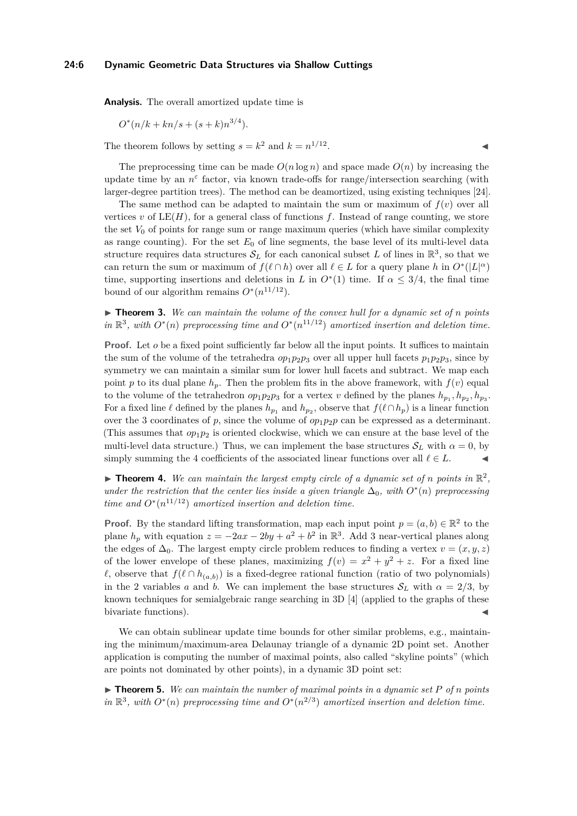## **24:6 Dynamic Geometric Data Structures via Shallow Cuttings**

**Analysis.** The overall amortized update time is

$$
O^*(n/k + kn/s + (s+k)n^{3/4}).
$$

The theorem follows by setting  $s = k^2$  and  $k = n^{1/12}$ 

The preprocessing time can be made  $O(n \log n)$  and space made  $O(n)$  by increasing the update time by an  $n^{\varepsilon}$  factor, via known trade-offs for range/intersection searching (with larger-degree partition trees). The method can be deamortized, using existing techniques [\[24\]](#page-12-18).

The same method can be adapted to maintain the sum or maximum of  $f(v)$  over all vertices  $v$  of  $LE(H)$ , for a general class of functions  $f$ . Instead of range counting, we store the set  $V_0$  of points for range sum or range maximum queries (which have similar complexity as range counting). For the set  $E_0$  of line segments, the base level of its multi-level data structure requires data structures  $\mathcal{S}_L$  for each canonical subset L of lines in  $\mathbb{R}^3$ , so that we can return the sum or maximum of  $f(\ell \cap h)$  over all  $\ell \in L$  for a query plane *h* in  $O^*(|L|^\alpha)$ time, supporting insertions and deletions in *L* in  $O<sup>*</sup>(1)$  time. If  $\alpha \leq 3/4$ , the final time bound of our algorithm remains  $O^*(n^{11/12})$ .

 $\triangleright$  **Theorem 3.** We can maintain the volume of the convex hull for a dynamic set of *n* points *in*  $\mathbb{R}^3$ , with *O*<sup>∗</sup>(*n*) *preprocessing time and O*<sup>∗</sup>(*n*<sup>11/12</sup>) *amortized insertion and deletion time.* 

**Proof.** Let *o* be a fixed point sufficiently far below all the input points. It suffices to maintain the sum of the volume of the tetrahedra  $op_1p_2p_3$  over all upper hull facets  $p_1p_2p_3$ , since by symmetry we can maintain a similar sum for lower hull facets and subtract. We map each point *p* to its dual plane  $h_p$ . Then the problem fits in the above framework, with  $f(v)$  equal to the volume of the tetrahedron  $op_1p_2p_3$  for a vertex *v* defined by the planes  $h_{p_1}, h_{p_2}, h_{p_3}$ . For a fixed line  $\ell$  defined by the planes  $h_{p_1}$  and  $h_{p_2}$ , observe that  $f(\ell \cap h_p)$  is a linear function over the 3 coordinates of *p*, since the volume of  $op_1p_2p$  can be expressed as a determinant. (This assumes that  $op_1p_2$  is oriented clockwise, which we can ensure at the base level of the multi-level data structure.) Thus, we can implement the base structures  $S_L$  with  $\alpha = 0$ , by simply summing the 4 coefficients of the associated linear functions over all  $\ell \in L$ .

**Theorem 4.** We can maintain the largest empty circle of a dynamic set of *n* points in  $\mathbb{R}^2$ , *under the restriction that the center lies inside a given triangle*  $\Delta_0$ *, with*  $O^*(n)$  *preprocessing time and*  $O^*(n^{11/12})$  *amortized insertion and deletion time.* 

**Proof.** By the standard lifting transformation, map each input point  $p = (a, b) \in \mathbb{R}^2$  to the plane  $h_p$  with equation  $z = -2ax - 2by + a^2 + b^2$  in  $\mathbb{R}^3$ . Add 3 near-vertical planes along the edges of  $\Delta_0$ . The largest empty circle problem reduces to finding a vertex  $v = (x, y, z)$ of the lower envelope of these planes, maximizing  $f(v) = x^2 + y^2 + z$ . For a fixed line  $\ell$ , observe that  $f(\ell \cap h_{(a,b)})$  is a fixed-degree rational function (ratio of two polynomials) in the 2 variables *a* and *b*. We can implement the base structures  $S_L$  with  $\alpha = 2/3$ , by known techniques for semialgebraic range searching in 3D [\[4\]](#page-11-1) (applied to the graphs of these bivariate functions).

We can obtain sublinear update time bounds for other similar problems, e.g., maintaining the minimum/maximum-area Delaunay triangle of a dynamic 2D point set. Another application is computing the number of maximal points, also called "skyline points" (which are points not dominated by other points), in a dynamic 3D point set:

 $\triangleright$  **Theorem 5.** We can maintain the number of maximal points in a dynamic set P of n points *in*  $\mathbb{R}^3$ , with *O*<sup>∗</sup>(*n*) *preprocessing time and O*<sup>∗</sup>(*n*<sup>2/3</sup>) *amortized insertion and deletion time.*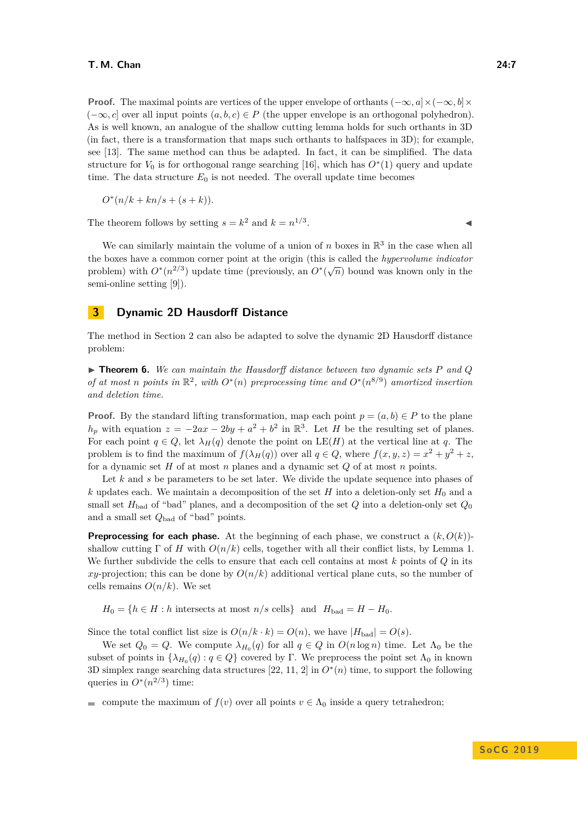**Proof.** The maximal points are vertices of the upper envelope of orthants  $(-\infty, a] \times (-\infty, b] \times$  $(-\infty, c]$  over all input points  $(a, b, c) \in P$  (the upper envelope is an orthogonal polyhedron). As is well known, an analogue of the shallow cutting lemma holds for such orthants in 3D (in fact, there is a transformation that maps such orthants to halfspaces in 3D); for example, see [\[13\]](#page-12-19). The same method can thus be adapted. In fact, it can be simplified. The data structure for  $V_0$  is for orthogonal range searching [\[16\]](#page-12-20), which has  $O^*(1)$  query and update time. The data structure  $E_0$  is not needed. The overall update time becomes

$$
O^{\ast}(n/k+kn/s+(s+k)).
$$

The theorem follows by setting  $s = k^2$  and  $k = n^{1/3}$ . J

We can similarly maintain the volume of a union of  $n$  boxes in  $\mathbb{R}^3$  in the case when all the boxes have a common corner point at the origin (this is called the *hypervolume indicator* problem) with  $O<sup>*</sup>(n<sup>2/3</sup>)$  update time (previously, an  $O<sup>*</sup>(\sqrt{n})$  bound was known only in the semi-online setting [\[9\]](#page-12-9)).

## <span id="page-6-0"></span>**3 Dynamic 2D Hausdorff Distance**

The method in Section [2](#page-3-0) can also be adapted to solve the dynamic 2D Hausdorff distance problem:

 $\triangleright$  **Theorem 6.** We can maintain the Hausdorff distance between two dynamic sets P and Q *of at most n* points in  $\mathbb{R}^2$ , with  $O^*(n)$  preprocessing time and  $O^*(n^{8/9})$  amortized insertion *and deletion time.*

**Proof.** By the standard lifting transformation, map each point  $p = (a, b) \in P$  to the plane  $h_p$  with equation  $z = -2ax - 2by + a^2 + b^2$  in  $\mathbb{R}^3$ . Let *H* be the resulting set of planes. For each point  $q \in Q$ , let  $\lambda_H(q)$  denote the point on LE(*H*) at the vertical line at *q*. The problem is to find the maximum of  $f(\lambda_H(q))$  over all  $q \in Q$ , where  $f(x, y, z) = x^2 + y^2 + z$ , for a dynamic set *H* of at most *n* planes and a dynamic set *Q* of at most *n* points.

Let *k* and *s* be parameters to be set later. We divide the update sequence into phases of  $k$  updates each. We maintain a decomposition of the set  $H$  into a deletion-only set  $H_0$  and a small set  $H_{bad}$  of "bad" planes, and a decomposition of the set  $Q$  into a deletion-only set  $Q_0$ and a small set *Q*bad of "bad" points.

**Preprocessing for each phase.** At the beginning of each phase, we construct a  $(k, O(k))$ shallow cutting  $\Gamma$  of *H* with  $O(n/k)$  cells, together with all their conflict lists, by Lemma [1.](#page-2-1) We further subdivide the cells to ensure that each cell contains at most *k* points of *Q* in its *xy*-projection; this can be done by  $O(n/k)$  additional vertical plane cuts, so the number of cells remains  $O(n/k)$ . We set

 $H_0 = \{h \in H : h \text{ intersects at most } n/s \text{ cells}\}\$ and  $H_{bad} = H - H_0$ .

Since the total conflict list size is  $O(n/k \cdot k) = O(n)$ , we have  $|H_{bad}| = O(s)$ .

We set  $Q_0 = Q$ . We compute  $\lambda_{H_0}(q)$  for all  $q \in Q$  in  $O(n \log n)$  time. Let  $\Lambda_0$  be the subset of points in  $\{\lambda_{H_0}(q) : q \in Q\}$  covered by Γ. We preprocess the point set  $\Lambda_0$  in known 3D simplex range searching data structures [\[22,](#page-12-16) [11,](#page-12-17) [2\]](#page-11-3) in *O*<sup>∗</sup> (*n*) time, to support the following queries in  $O^*(n^{2/3})$  time:

compute the maximum of  $f(v)$  over all points  $v \in \Lambda_0$  inside a query tetrahedron;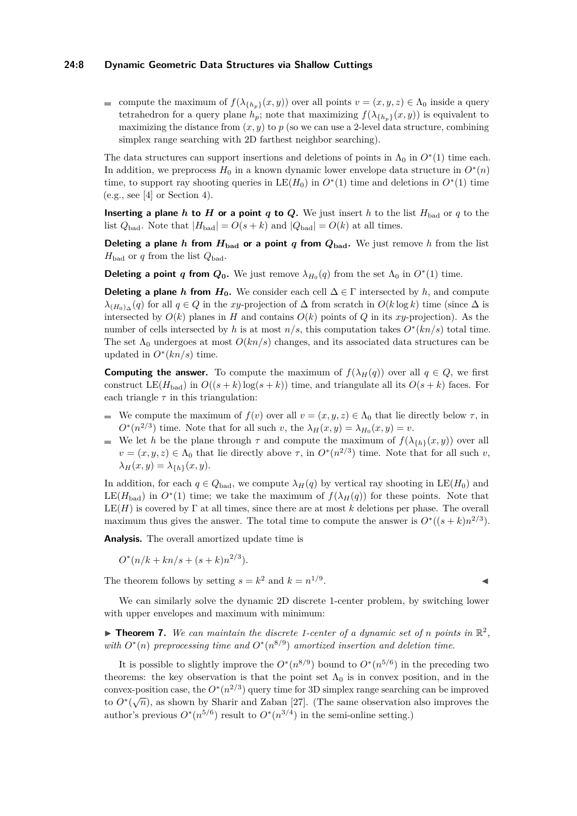## **24:8 Dynamic Geometric Data Structures via Shallow Cuttings**

compute the maximum of  $f(\lambda_{\{h_p\}}(x, y))$  over all points  $v = (x, y, z) \in \Lambda_0$  inside a query tetrahedron for a query plane  $h_p$ ; note that maximizing  $f(\lambda_{\{h_p\}}(x, y))$  is equivalent to maximizing the distance from  $(x, y)$  to  $p$  (so we can use a 2-level data structure, combining simplex range searching with 2D farthest neighbor searching).

The data structures can support insertions and deletions of points in  $\Lambda_0$  in  $O^*(1)$  time each. In addition, we preprocess  $H_0$  in a known dynamic lower envelope data structure in  $O^*(n)$ time, to support ray shooting queries in  $LE(H_0)$  in  $O^*(1)$  time and deletions in  $O^*(1)$  time  $(e.g., see [4] or Section 4).$  $(e.g., see [4] or Section 4).$  $(e.g., see [4] or Section 4).$  $(e.g., see [4] or Section 4).$  $(e.g., see [4] or Section 4).$ 

**Inserting a plane** *h* **to** *H* **or a point** *q* **to** *Q***. We just insert** *h* **to the list**  $H_{bad}$  **or** *q* **to the** list  $Q_{bad}$ . Note that  $|H_{bad}| = O(s+k)$  and  $|Q_{bad}| = O(k)$  at all times.

**Deleting a plane** *h* **from**  $H_{bad}$  **or a point** *q* **from**  $Q_{bad}$ . We just remove *h* from the list  $H_{bad}$  or *q* from the list  $Q_{bad}$ .

**Deleting a point** *q* **from**  $Q_0$ **.** We just remove  $\lambda_{H_0}(q)$  from the set  $\Lambda_0$  in  $O^*(1)$  time.

**Deleting a plane** *h* **from**  $H_0$ . We consider each cell  $\Delta \in \Gamma$  intersected by *h*, and compute *λ*(*H*<sub>0</sub>)∆</sub>(*q*) for all *q* ∈ *Q* in the *xy*-projection of  $\Delta$  from scratch in  $O(k \log k)$  time (since  $\Delta$  is intersected by  $O(k)$  planes in *H* and contains  $O(k)$  points of *Q* in its *xy*-projection). As the number of cells intersected by *h* is at most  $n/s$ , this computation takes  $O^*(kn/s)$  total time. The set  $\Lambda_0$  undergoes at most  $O(kn/s)$  changes, and its associated data structures can be updated in  $O^*(kn/s)$  time.

**Computing the answer.** To compute the maximum of  $f(\lambda_H(q))$  over all  $q \in Q$ , we first construct LE( $H_{bad}$ ) in  $O((s+k)\log(s+k))$  time, and triangulate all its  $O(s+k)$  faces. For each triangle  $\tau$  in this triangulation:

- We compute the maximum of  $f(v)$  over all  $v = (x, y, z) \in \Lambda_0$  that lie directly below  $\tau$ , in  $O^*(n^{2/3})$  time. Note that for all such *v*, the  $\lambda_H(x, y) = \lambda_{H_0}(x, y) = v$ .
- We let *h* be the plane through  $\tau$  and compute the maximum of  $f(\lambda_{\{h\}}(x,y))$  over all  $v = (x, y, z) \in \Lambda_0$  that lie directly above  $\tau$ , in  $O^*(n^{2/3})$  time. Note that for all such *v*,  $λ$ *H*(*x, y*) =  $λ$ <sub>{*h*}</sub>(*x, y*).

In addition, for each  $q \in Q_{bad}$ , we compute  $\lambda_H(q)$  by vertical ray shooting in  $LE(H_0)$  and LE( $H_{bad}$ ) in  $O^*(1)$  time; we take the maximum of  $f(\lambda_H(q))$  for these points. Note that  $LE(H)$  is covered by  $\Gamma$  at all times, since there are at most k deletions per phase. The overall maximum thus gives the answer. The total time to compute the answer is  $O^*((s+k)n^{2/3})$ .

**Analysis.** The overall amortized update time is

$$
O^*(n/k + kn/s + (s+k)n^{2/3}).
$$

The theorem follows by setting  $s = k^2$  and  $k = n^{1/9}$ . John J. J. J. J. J. J. J. J. J. J.

We can similarly solve the dynamic 2D discrete 1-center problem, by switching lower with upper envelopes and maximum with minimum:

**Theorem 7.** We can maintain the discrete 1-center of a dynamic set of *n* points in  $\mathbb{R}^2$ , *with*  $O^*(n)$  preprocessing time and  $O^*(n^{8/9})$  amortized insertion and deletion time.

It is possible to slightly improve the  $O^*(n^{8/9})$  bound to  $O^*(n^{5/6})$  in the preceding two theorems: the key observation is that the point set  $\Lambda_0$  is in convex position, and in the convex-position case, the  $O^*(n^{2/3})$  query time for 3D simplex range searching can be improved to  $O^*(\sqrt{n})$ , as shown by Sharir and Zaban [\[27\]](#page-12-21). (The same observation also improves the author's previous  $O^*(n^{5/6})$  result to  $O^*(n^{3/4})$  in the semi-online setting.)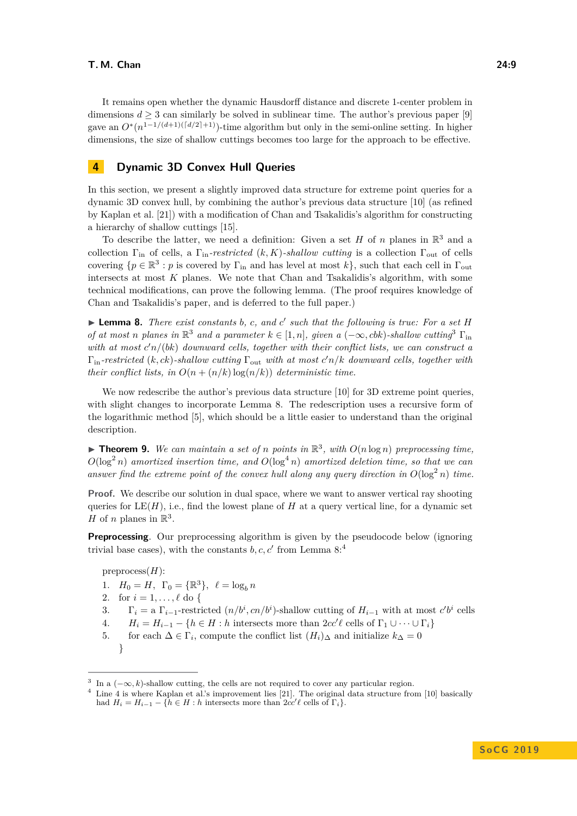It remains open whether the dynamic Hausdorff distance and discrete 1-center problem in dimensions  $d > 3$  can similarly be solved in sublinear time. The author's previous paper [\[9\]](#page-12-9) gave an  $O^*(n^{1-1/(d+1)(d/2)+1})$ -time algorithm but only in the semi-online setting. In higher dimensions, the size of shallow cuttings becomes too large for the approach to be effective.

## <span id="page-8-0"></span>**4 Dynamic 3D Convex Hull Queries**

In this section, we present a slightly improved data structure for extreme point queries for a dynamic 3D convex hull, by combining the author's previous data structure [\[10\]](#page-12-3) (as refined by Kaplan et al. [\[21\]](#page-12-5)) with a modification of Chan and Tsakalidis's algorithm for constructing a hierarchy of shallow cuttings [\[15\]](#page-12-14).

To describe the latter, we need a definition: Given a set  $H$  of  $n$  planes in  $\mathbb{R}^3$  and a collection  $\Gamma_{\text{in}}$  of cells, a  $\Gamma_{\text{in}}$ *-restricted* (*k, K*)*-shallow cutting* is a collection  $\Gamma_{\text{out}}$  of cells covering  $\{p \in \mathbb{R}^3 : p \text{ is covered by } \Gamma_{\text{in}} \text{ and has level at most } k\}$ , such that each cell in  $\Gamma_{\text{out}}$ intersects at most *K* planes. We note that Chan and Tsakalidis's algorithm, with some technical modifications, can prove the following lemma. (The proof requires knowledge of Chan and Tsakalidis's paper, and is deferred to the full paper.)

<span id="page-8-2"></span>▶ **Lemma 8.** *There exist constants b*, *c*, and *c*<sup> $\prime$ </sup> such that the following is true: For a set *H of at most n* planes in  $\mathbb{R}^3$  $\mathbb{R}^3$  and a parameter  $k \in [1, n]$ , given a  $(-\infty, cbb)$ -shallow cutting<sup>3</sup>  $\Gamma$ <sub>in</sub> with at most  $c'n/(bk)$  downward cells, together with their conflict lists, we can construct a Γin*-restricted* (*k, ck*)*-shallow cutting* Γout *with at most c* <sup>0</sup>*n/k downward cells, together with their conflict lists, in*  $O(n + (n/k) \log(n/k))$  *deterministic time.* 

We now redescribe the author's previous data structure [\[10\]](#page-12-3) for 3D extreme point queries, with slight changes to incorporate Lemma [8.](#page-8-2) The redescription uses a recursive form of the logarithmic method [\[5\]](#page-11-2), which should be a little easier to understand than the original description.

 $\blacktriangleright$  **Theorem 9.** We can maintain a set of *n* points in  $\mathbb{R}^3$ , with  $O(n \log n)$  preprocessing time,  $O(\log^2 n)$  *amortized insertion time, and*  $O(\log^4 n)$  *amortized deletion time, so that we can answer find the extreme point of the convex hull along any query direction in*  $O(\log^2 n)$  *time.* 

**Proof.** We describe our solution in dual space, where we want to answer vertical ray shooting queries for  $LE(H)$ , i.e., find the lowest plane of *H* at a query vertical line, for a dynamic set *H* of *n* planes in  $\mathbb{R}^3$ .

**Preprocessing**. Our preprocessing algorithm is given by the pseudocode below (ignoring trivial base cases), with the constants  $b, c, c'$  from Lemma  $8:4$  $8:4$ 

preprocess(*H*):

- 1.  $H_0 = H$ ,  $\Gamma_0 = {\mathbb R}^3$ ,  $\ell = \log_b n$
- 2. for  $i = 1, ..., \ell$  do {
- 3.  $\Gamma_i = \text{a } \Gamma_{i-1}$ -restricted  $(n/b^i, cn/b^i)$ -shallow cutting of  $H_{i-1}$  with at most  $c'b^i$  cells
- 4.  $H_i = H_{i-1} \{h \in H : h \text{ intersects more than } 2cc'\ell \text{ cells of } \Gamma_1 \cup \cdots \cup \Gamma_i\}$
- 5. for each  $\Delta \in \Gamma_i$ , compute the conflict list  $(H_i)_{\Delta}$  and initialize  $k_{\Delta} = 0$ }

<span id="page-8-1"></span><sup>&</sup>lt;sup>3</sup> In a  $(-\infty, k)$ -shallow cutting, the cells are not required to cover any particular region.

<span id="page-8-3"></span><sup>4</sup> Line 4 is where Kaplan et al.'s improvement lies [\[21\]](#page-12-5). The original data structure from [\[10\]](#page-12-3) basically had  $H_i = H_{i-1} - \{\hat{h} \in H : h \text{ intersects more than } 2cc' \ell \text{ cells of } \Gamma_i\}.$ 

**S o C G 2 0 1 9**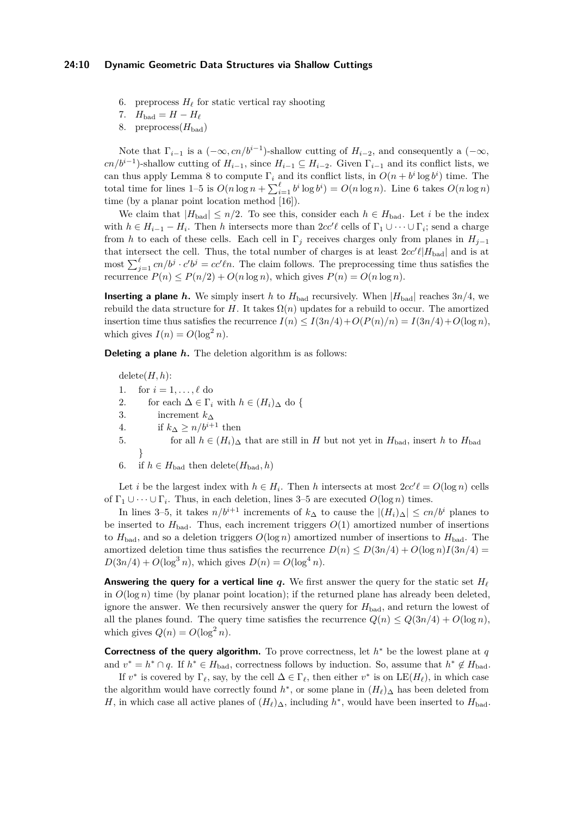## **24:10 Dynamic Geometric Data Structures via Shallow Cuttings**

- 6. preprocess  $H_\ell$  for static vertical ray shooting
- 7.  $H_{bad} = H H_{\ell}$
- 8. preprocess $(H_{bad})$

Note that  $\Gamma_{i-1}$  is a  $(-\infty, cn/b^{i-1})$ -shallow cutting of  $H_{i-2}$ , and consequently a  $(-\infty,$  $cn/b^{i-1}$ )-shallow cutting of  $H_{i-1}$ , since  $H_{i-1} \subseteq H_{i-2}$ . Given  $\Gamma_{i-1}$  and its conflict lists, we can thus apply Lemma [8](#page-8-2) to compute  $\Gamma_i$  and its conflict lists, in  $O(n + b^i \log b^i)$  time. The total time for lines 1-5 is  $O(n \log n + \sum_{i=1}^{\ell} b^i \log b^i) = O(n \log n)$ . Line 6 takes  $O(n \log n)$ time (by a planar point location method [\[16\]](#page-12-20)).

We claim that  $|H_{bad}| \leq n/2$ . To see this, consider each  $h \in H_{bad}$ . Let *i* be the index with  $h \in H_{i-1} - H_i$ . Then *h* intersects more than  $2cc'\ell$  cells of  $\Gamma_1 \cup \cdots \cup \Gamma_i$ ; send a charge from *h* to each of these cells. Each cell in  $\Gamma_j$  receives charges only from planes in  $H_{j-1}$ that intersect the cell. Thus, the total number of charges is at least  $2cc'\ell|H_{bad}|$  and is at most  $\sum_{j=1}^{\ell} c n/b^j \cdot c'b^j = c c' \ell n$ . The claim follows. The preprocessing time thus satisfies the recurrence  $P(n) \leq P(n/2) + O(n \log n)$ , which gives  $P(n) = O(n \log n)$ .

**Inserting a plane** *h***.** We simply insert *h* to  $H_{bad}$  recursively. When  $|H_{bad}|$  reaches  $3n/4$ , we rebuild the data structure for *H*. It takes  $\Omega(n)$  updates for a rebuild to occur. The amortized insertion time thus satisfies the recurrence  $I(n) \leq I(3n/4) + O(P(n)/n) = I(3n/4) + O(\log n)$ , which gives  $I(n) = O(\log^2 n)$ .

**Deleting a plane** *h***.** The deletion algorithm is as follows:

 $delete(H, h)$ : 1. for  $i = 1, ..., \ell$  do 2. for each  $\Delta \in \Gamma_i$  with  $h \in (H_i)_{\Delta}$  do { 3. increment *k*<sup>∆</sup> 4. if  $k_{\Delta} \geq n/b^{i+1}$  then 5. for all  $h \in (H_i)_{\Delta}$  that are still in *H* but not yet in  $H_{\text{bad}}$ , insert *h* to  $H_{\text{bad}}$ } 6. if  $h \in H_{bad}$  then delete $(H_{bad}, h)$ 

Let *i* be the largest index with  $h \in H_i$ . Then *h* intersects at most  $2cc'\ell = O(\log n)$  cells of  $\Gamma_1 \cup \cdots \cup \Gamma_i$ . Thus, in each deletion, lines 3–5 are executed  $O(\log n)$  times.

In lines 3–5, it takes  $n/b^{i+1}$  increments of  $k_{\Delta}$  to cause the  $|(H_i)_{\Delta}| \leq cn/b^i$  planes to be inserted to  $H_{bad}$ . Thus, each increment triggers  $O(1)$  amortized number of insertions to  $H_{bad}$ , and so a deletion triggers  $O(\log n)$  amortized number of insertions to  $H_{bad}$ . The amortized deletion time thus satisfies the recurrence  $D(n) \leq D(3n/4) + O(\log n)I(3n/4) =$  $D(3n/4) + O(\log^3 n)$ , which gives  $D(n) = O(\log^4 n)$ .

**Answering the query for a vertical line**  $q$ . We first answer the query for the static set  $H<sub>o</sub>$ in  $O(\log n)$  time (by planar point location); if the returned plane has already been deleted, ignore the answer. We then recursively answer the query for  $H_{bad}$ , and return the lowest of all the planes found. The query time satisfies the recurrence  $Q(n) \leq Q(3n/4) + O(\log n)$ , which gives  $Q(n) = O(\log^2 n)$ .

**Correctness of the query algorithm.** To prove correctness, let *h* <sup>∗</sup> be the lowest plane at *q* and  $v^* = h^* \cap q$ . If  $h^* \in H_{bad}$ , correctness follows by induction. So, assume that  $h^* \notin H_{bad}$ .

If  $v^*$  is covered by  $\Gamma_\ell$ , say, by the cell  $\Delta \in \Gamma_\ell$ , then either  $v^*$  is on  $LE(H_\ell)$ , in which case the algorithm would have correctly found  $h^*$ , or some plane in  $(H_\ell)_{\Delta}$  has been deleted from *H*, in which case all active planes of  $(H_\ell)_{\Delta}$ , including  $h^*$ , would have been inserted to  $H_{bad}$ .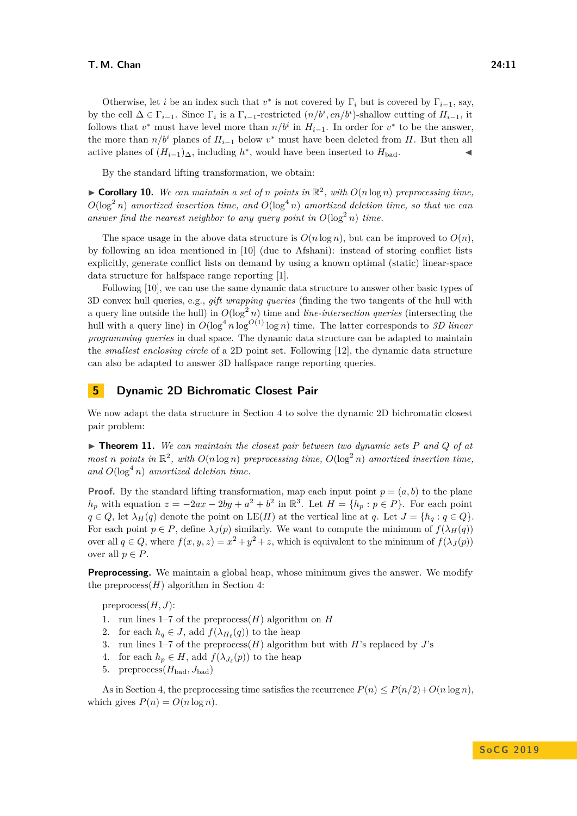#### **T. M. Chan 24:11**

Otherwise, let *i* be an index such that  $v^*$  is not covered by  $\Gamma_i$  but is covered by  $\Gamma_{i-1}$ , say, by the cell  $\Delta \in \Gamma_{i-1}$ . Since  $\Gamma_i$  is a  $\Gamma_{i-1}$ -restricted  $(n/b^i, cn/b^i)$ -shallow cutting of  $H_{i-1}$ , it follows that  $v^*$  must have level more than  $n/b^i$  in  $H_{i-1}$ . In order for  $v^*$  to be the answer, the more than  $n/b^i$  planes of  $H_{i-1}$  below  $v^*$  must have been deleted from *H*. But then all active planes of  $(H_{i-1})$ ∆, including  $h^*$ , would have been inserted to  $H_{bad}$ .

By the standard lifting transformation, we obtain:

 $\triangleright$  **Corollary 10.** We can maintain a set of *n* points in  $\mathbb{R}^2$ , with  $O(n \log n)$  preprocessing time,  $O(\log^2 n)$  *amortized insertion time, and*  $O(\log^4 n)$  *amortized deletion time, so that we can* answer find the nearest neighbor to any query point in  $O(\log^2 n)$  time.

The space usage in the above data structure is  $O(n \log n)$ , but can be improved to  $O(n)$ , by following an idea mentioned in [\[10\]](#page-12-3) (due to Afshani): instead of storing conflict lists explicitly, generate conflict lists on demand by using a known optimal (static) linear-space data structure for halfspace range reporting [\[1\]](#page-11-5).

Following [\[10\]](#page-12-3), we can use the same dynamic data structure to answer other basic types of 3D convex hull queries, e.g., *gift wrapping queries* (finding the two tangents of the hull with a query line outside the hull) in  $O(\log^2 n)$  time and *line-intersection queries* (intersecting the hull with a query line) in  $O(\log^4 n \log^{O(1)} \log n)$  time. The latter corresponds to *3D linear programming queries* in dual space. The dynamic data structure can be adapted to maintain the *smallest enclosing circle* of a 2D point set. Following [\[12\]](#page-12-2), the dynamic data structure can also be adapted to answer 3D halfspace range reporting queries.

## <span id="page-10-0"></span>**5 Dynamic 2D Bichromatic Closest Pair**

We now adapt the data structure in Section [4](#page-8-0) to solve the dynamic 2D bichromatic closest pair problem:

 $\blacktriangleright$  **Theorem 11.** We can maintain the closest pair between two dynamic sets P and Q of at *most n points* in  $\mathbb{R}^2$ , with  $O(n \log n)$  *preprocessing time,*  $O(\log^2 n)$  *amortized insertion time,* and  $O(\log^4 n)$  *amortized deletion time.* 

**Proof.** By the standard lifting transformation, map each input point  $p = (a, b)$  to the plane  $h_p$  with equation  $z = -2ax - 2by + a^2 + b^2$  in  $\mathbb{R}^3$ . Let  $H = \{h_p : p \in P\}$ . For each point  $q \in Q$ , let  $\lambda_H(q)$  denote the point on  $LE(H)$  at the vertical line at *q*. Let  $J = \{h_q : q \in Q\}$ . For each point  $p \in P$ , define  $\lambda_J(p)$  similarly. We want to compute the minimum of  $f(\lambda_H(q))$ over all  $q \in Q$ , where  $f(x, y, z) = x^2 + y^2 + z$ , which is equivalent to the minimum of  $f(\lambda_J(p))$ over all  $p \in P$ .

**Preprocessing.** We maintain a global heap, whose minimum gives the answer. We modify the preprocess $(H)$  algorithm in Section [4:](#page-8-0)

preprocess(*H, J*):

- 1. run lines 1–7 of the preprocess(*H*) algorithm on *H*
- 2. for each  $h_q \in J$ , add  $f(\lambda_{H_\ell}(q))$  to the heap
- 3. run lines 1–7 of the preprocess(*H*) algorithm but with *H*'s replaced by *J*'s
- 4. for each  $h_p \in H$ , add  $f(\lambda_{J_\ell}(p))$  to the heap
- 5. preprocess $(H_{bad}, J_{bad})$

As in Section [4,](#page-8-0) the preprocessing time satisfies the recurrence  $P(n) \leq P(n/2) + O(n \log n)$ , which gives  $P(n) = O(n \log n)$ .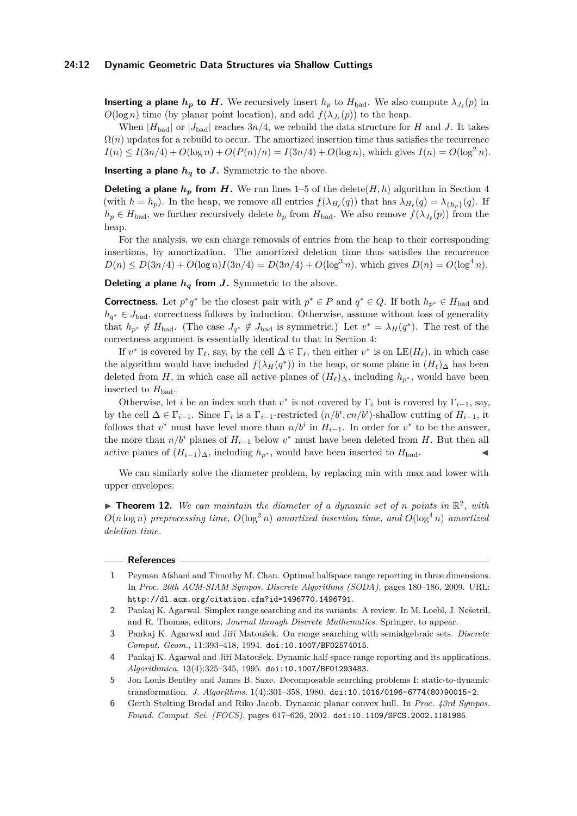## **24:12 Dynamic Geometric Data Structures via Shallow Cuttings**

**Inserting a plane**  $h_p$  **to** *H***.** We recursively insert  $h_p$  to  $H_{bad}$ . We also compute  $\lambda_{J_\ell}(p)$  in  $O(\log n)$  time (by planar point location), and add  $f(\lambda_{J_{\ell}}(p))$  to the heap.

When  $|H_{\text{bad}}|$  or  $|J_{\text{bad}}|$  reaches  $3n/4$ , we rebuild the data structure for *H* and *J*. It takes  $\Omega(n)$  updates for a rebuild to occur. The amortized insertion time thus satisfies the recurrence  $I(n) \leq I(3n/4) + O(\log n) + O(P(n)/n) = I(3n/4) + O(\log n)$ , which gives  $I(n) = O(\log^2 n)$ .

**Inserting a plane**  $h_q$  **to**  $J$ **.** Symmetric to the above.

**Deleting a plane**  $h_p$  **from** *H*. We run lines 1–5 of the delete(*H, h*) algorithm in Section [4](#page-8-0) (with  $h = h_p$ ). In the heap, we remove all entries  $f(\lambda_{H_\ell}(q))$  that has  $\lambda_{H_\ell}(q) = \lambda_{\{h_p\}}(q)$ . If  $h_p \in H_{bad}$ , we further recursively delete  $h_p$  from  $H_{bad}$ . We also remove  $f(\lambda_{J_\ell}(p))$  from the heap.

For the analysis, we can charge removals of entries from the heap to their corresponding insertions, by amortization. The amortized deletion time thus satisfies the recurrence  $D(n) \leq D(3n/4) + O(\log n)I(3n/4) = D(3n/4) + O(\log^3 n)$ , which gives  $D(n) = O(\log^4 n)$ .

**Deleting a plane** *h<sup>q</sup>* **from** *J***.** Symmetric to the above.

**Correctness.** Let  $p^*q^*$  be the closest pair with  $p^* \in P$  and  $q^* \in Q$ . If both  $h_{p^*} \in H_{bad}$  and  $h_{q^*} \in J_{bad}$ , correctness follows by induction. Otherwise, assume without loss of generality that  $h_{p^*} \notin H_{bad}$ . (The case  $J_{q^*} \notin J_{bad}$  is symmetric.) Let  $v^* = \lambda_H(q^*)$ . The rest of the correctness argument is essentially identical to that in Section [4:](#page-8-0)

If  $v^*$  is covered by  $\Gamma_\ell$ , say, by the cell  $\Delta \in \Gamma_\ell$ , then either  $v^*$  is on  $LE(H_\ell)$ , in which case the algorithm would have included  $f(\lambda_H(q^*))$  in the heap, or some plane in  $(H_\ell)_{\Delta}$  has been deleted from *H*, in which case all active planes of  $(H_\ell)_{\Delta}$ , including  $h_{p^*}$ , would have been inserted to  $H_{bad}$ .

Otherwise, let *i* be an index such that  $v^*$  is not covered by  $\Gamma_i$  but is covered by  $\Gamma_{i-1}$ , say, by the cell  $\Delta \in \Gamma_{i-1}$ . Since  $\Gamma_i$  is a  $\Gamma_{i-1}$ -restricted  $(n/b^i, cn/b^i)$ -shallow cutting of  $H_{i-1}$ , it follows that  $v^*$  must have level more than  $n/b^i$  in  $H_{i-1}$ . In order for  $v^*$  to be the answer, the more than  $n/b^i$  planes of  $H_{i-1}$  below  $v^*$  must have been deleted from *H*. But then all active planes of  $(H_{i-1})_{\Delta}$ , including  $h_{p^*}$ , would have been inserted to  $H_{bad}$ .

We can similarly solve the diameter problem, by replacing min with max and lower with upper envelopes:

**Theorem 12.** We can maintain the diameter of a dynamic set of *n* points in  $\mathbb{R}^2$ , with  $O(n \log n)$  *preprocessing time,*  $O(\log^2 n)$  *amortized insertion time, and*  $O(\log^4 n)$  *amortized deletion time.*

#### **References**

<span id="page-11-5"></span>**1** Peyman Afshani and Timothy M. Chan. Optimal halfspace range reporting in three dimensions. In *Proc. 20th ACM-SIAM Sympos. Discrete Algorithms (SODA)*, pages 180–186, 2009. URL: <http://dl.acm.org/citation.cfm?id=1496770.1496791>.

<span id="page-11-3"></span>**<sup>2</sup>** Pankaj K. Agarwal. Simplex range searching and its variants: A review. In M. Loebl, J. Nešetril, and R. Thomas, editors, *Journal through Discrete Mathematics*. Springer, to appear.

<span id="page-11-4"></span>**<sup>3</sup>** Pankaj K. Agarwal and Jiří Matoušek. On range searching with semialgebraic sets. *Discrete Comput. Geom.*, 11:393–418, 1994. [doi:10.1007/BF02574015](http://dx.doi.org/10.1007/BF02574015).

<span id="page-11-1"></span>**<sup>4</sup>** Pankaj K. Agarwal and Jiří Matoušek. Dynamic half-space range reporting and its applications. *Algorithmica*, 13(4):325–345, 1995. [doi:10.1007/BF01293483](http://dx.doi.org/10.1007/BF01293483).

<span id="page-11-2"></span>**<sup>5</sup>** Jon Louis Bentley and James B. Saxe. Decomposable searching problems I: static-to-dynamic transformation. *J. Algorithms*, 1(4):301–358, 1980. [doi:10.1016/0196-6774\(80\)90015-2](http://dx.doi.org/10.1016/0196-6774(80)90015-2).

<span id="page-11-0"></span>**<sup>6</sup>** Gerth Stølting Brodal and Riko Jacob. Dynamic planar convex hull. In *Proc. 43rd Sympos. Found. Comput. Sci. (FOCS)*, pages 617–626, 2002. [doi:10.1109/SFCS.2002.1181985](http://dx.doi.org/10.1109/SFCS.2002.1181985).